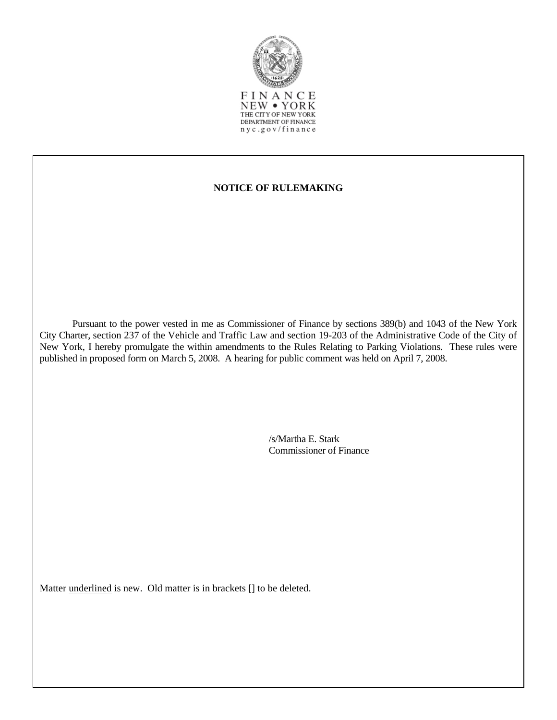

NEW • YORK THE CITY OF NEW YORK DEPARTMENT OF FINANCE nyc.gov/finance

## **NOTICE OF RULEMAKING**

 Pursuant to the power vested in me as Commissioner of Finance by sections 389(b) and 1043 of the New York City Charter, section 237 of the Vehicle and Traffic Law and section 19-203 of the Administrative Code of the City of New York, I hereby promulgate the within amendments to the Rules Relating to Parking Violations. These rules were published in proposed form on March 5, 2008. A hearing for public comment was held on April 7, 2008.

> /s/Martha E. Stark Commissioner of Finance

Matter underlined is new. Old matter is in brackets [] to be deleted.